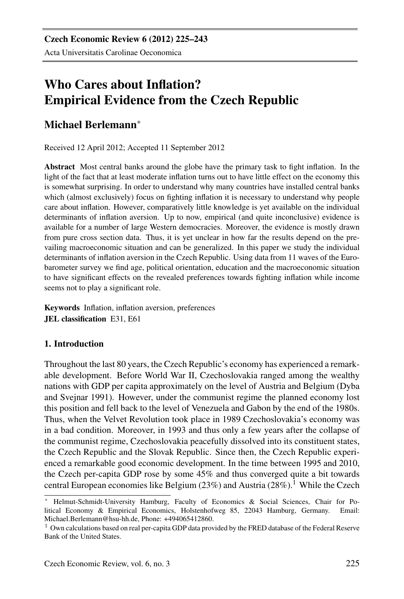# Who Cares about Inflation? Empirical Evidence from the Czech Republic

## Michael Berlemann<sup>∗</sup>

Received 12 April 2012; Accepted 11 September 2012

Abstract Most central banks around the globe have the primary task to fight inflation. In the light of the fact that at least moderate inflation turns out to have little effect on the economy this is somewhat surprising. In order to understand why many countries have installed central banks which (almost exclusively) focus on fighting inflation it is necessary to understand why people care about inflation. However, comparatively little knowledge is yet available on the individual determinants of inflation aversion. Up to now, empirical (and quite inconclusive) evidence is available for a number of large Western democracies. Moreover, the evidence is mostly drawn from pure cross section data. Thus, it is yet unclear in how far the results depend on the prevailing macroeconomic situation and can be generalized. In this paper we study the individual determinants of inflation aversion in the Czech Republic. Using data from 11 waves of the Eurobarometer survey we find age, political orientation, education and the macroeconomic situation to have significant effects on the revealed preferences towards fighting inflation while income seems not to play a significant role.

Keywords Inflation, inflation aversion, preferences JEL classification E31, E61

## 1. Introduction

Throughout the last 80 years, the Czech Republic's economy has experienced a remarkable development. Before World War II, Czechoslovakia ranged among the wealthy nations with GDP per capita approximately on the level of Austria and Belgium (Dyba and Svejnar 1991). However, under the communist regime the planned economy lost this position and fell back to the level of Venezuela and Gabon by the end of the 1980s. Thus, when the Velvet Revolution took place in 1989 Czechoslovakia's economy was in a bad condition. Moreover, in 1993 and thus only a few years after the collapse of the communist regime, Czechoslovakia peacefully dissolved into its constituent states, the Czech Republic and the Slovak Republic. Since then, the Czech Republic experienced a remarkable good economic development. In the time between 1995 and 2010, the Czech per-capita GDP rose by some 45% and thus converged quite a bit towards central European economies like Belgium  $(23%)$  and Austria  $(28%)$ .<sup>1</sup> While the Czech

<sup>∗</sup> Helmut-Schmidt-University Hamburg, Faculty of Economics & Social Sciences, Chair for Political Economy & Empirical Economics, Holstenhofweg 85, 22043 Hamburg, Germany. Email: Michael.Berlemann@hsu-hh.de, Phone: +494065412860.

<sup>&</sup>lt;sup>1</sup> Own calculations based on real per-capita GDP data provided by the FRED database of the Federal Reserve Bank of the United States.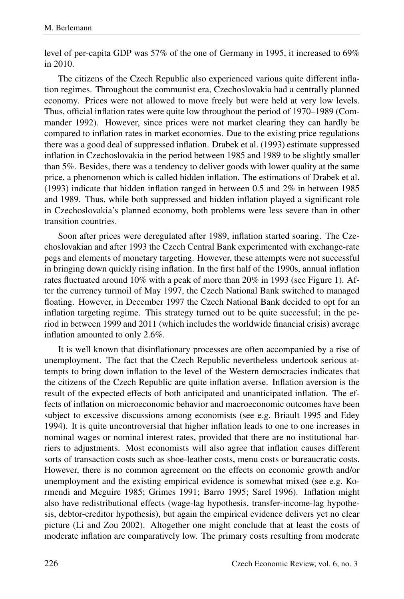level of per-capita GDP was 57% of the one of Germany in 1995, it increased to 69% in 2010.

The citizens of the Czech Republic also experienced various quite different inflation regimes. Throughout the communist era, Czechoslovakia had a centrally planned economy. Prices were not allowed to move freely but were held at very low levels. Thus, official inflation rates were quite low throughout the period of 1970–1989 (Commander 1992). However, since prices were not market clearing they can hardly be compared to inflation rates in market economies. Due to the existing price regulations there was a good deal of suppressed inflation. Drabek et al. (1993) estimate suppressed inflation in Czechoslovakia in the period between 1985 and 1989 to be slightly smaller than 5%. Besides, there was a tendency to deliver goods with lower quality at the same price, a phenomenon which is called hidden inflation. The estimations of Drabek et al. (1993) indicate that hidden inflation ranged in between 0.5 and 2% in between 1985 and 1989. Thus, while both suppressed and hidden inflation played a significant role in Czechoslovakia's planned economy, both problems were less severe than in other transition countries.

Soon after prices were deregulated after 1989, inflation started soaring. The Czechoslovakian and after 1993 the Czech Central Bank experimented with exchange-rate pegs and elements of monetary targeting. However, these attempts were not successful in bringing down quickly rising inflation. In the first half of the 1990s, annual inflation rates fluctuated around 10% with a peak of more than 20% in 1993 (see Figure 1). After the currency turmoil of May 1997, the Czech National Bank switched to managed floating. However, in December 1997 the Czech National Bank decided to opt for an inflation targeting regime. This strategy turned out to be quite successful; in the period in between 1999 and 2011 (which includes the worldwide financial crisis) average inflation amounted to only 2.6%.

It is well known that disinflationary processes are often accompanied by a rise of unemployment. The fact that the Czech Republic nevertheless undertook serious attempts to bring down inflation to the level of the Western democracies indicates that the citizens of the Czech Republic are quite inflation averse. Inflation aversion is the result of the expected effects of both anticipated and unanticipated inflation. The effects of inflation on microeconomic behavior and macroeconomic outcomes have been subject to excessive discussions among economists (see e.g. Briault 1995 and Edey 1994). It is quite uncontroversial that higher inflation leads to one to one increases in nominal wages or nominal interest rates, provided that there are no institutional barriers to adjustments. Most economists will also agree that inflation causes different sorts of transaction costs such as shoe-leather costs, menu costs or bureaucratic costs. However, there is no common agreement on the effects on economic growth and/or unemployment and the existing empirical evidence is somewhat mixed (see e.g. Kormendi and Meguire 1985; Grimes 1991; Barro 1995; Sarel 1996). Inflation might also have redistributional effects (wage-lag hypothesis, transfer-income-lag hypothesis, debtor-creditor hypothesis), but again the empirical evidence delivers yet no clear picture (Li and Zou 2002). Altogether one might conclude that at least the costs of moderate inflation are comparatively low. The primary costs resulting from moderate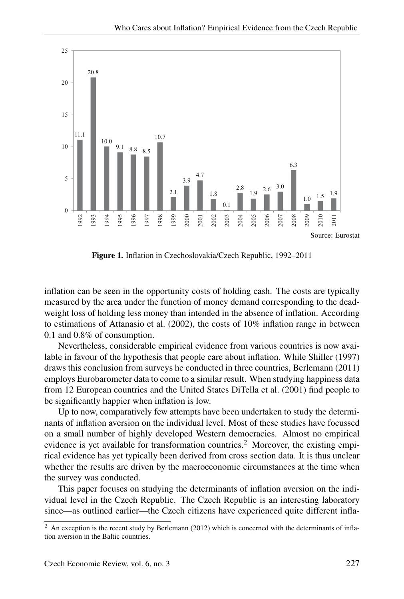

Figure 1. Inflation in Czechoslovakia/Czech Republic, 1992–2011

inflation can be seen in the opportunity costs of holding cash. The costs are typically measured by the area under the function of money demand corresponding to the deadweight loss of holding less money than intended in the absence of inflation. According to estimations of Attanasio et al. (2002), the costs of 10% inflation range in between 0.1 and 0.8% of consumption.

Nevertheless, considerable empirical evidence from various countries is now available in favour of the hypothesis that people care about inflation. While Shiller (1997) draws this conclusion from surveys he conducted in three countries, Berlemann (2011) employs Eurobarometer data to come to a similar result. When studying happiness data from 12 European countries and the United States DiTella et al. (2001) find people to be significantly happier when inflation is low.

Up to now, comparatively few attempts have been undertaken to study the determinants of inflation aversion on the individual level. Most of these studies have focussed on a small number of highly developed Western democracies. Almost no empirical evidence is yet available for transformation countries.<sup>2</sup> Moreover, the existing empirical evidence has yet typically been derived from cross section data. It is thus unclear whether the results are driven by the macroeconomic circumstances at the time when the survey was conducted.

This paper focuses on studying the determinants of inflation aversion on the individual level in the Czech Republic. The Czech Republic is an interesting laboratory since—as outlined earlier—the Czech citizens have experienced quite different infla-

 $2$  An exception is the recent study by Berlemann (2012) which is concerned with the determinants of inflation aversion in the Baltic countries.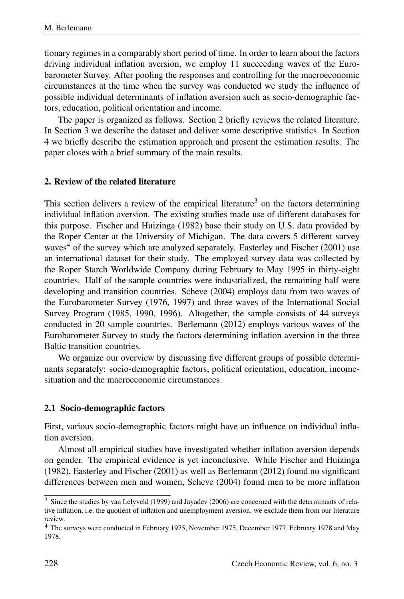tionary regimes in a comparably short period of time. In order to learn about the factors driving individual inflation aversion, we employ 11 succeeding waves of the Eurobarometer Survey. After pooling the responses and controlling for the macroeconomic circumstances at the time when the survey was conducted we study the influence of possible individual determinants of inflation aversion such as socio-demographic factors, education, political orientation and income.

The paper is organized as follows. Section 2 briefly reviews the related literature. In Section 3 we describe the dataset and deliver some descriptive statistics. In Section 4 we briefly describe the estimation approach and present the estimation results. The paper closes with a brief summary of the main results.

#### 2. Review of the related literature

This section delivers a review of the empirical literature<sup>3</sup> on the factors determining individual inflation aversion. The existing studies made use of different databases for this purpose. Fischer and Huizinga (1982) base their study on U.S. data provided by the Roper Center at the University of Michigan. The data covers 5 different survey waves<sup>4</sup> of the survey which are analyzed separately. Easterley and Fischer (2001) use an international dataset for their study. The employed survey data was collected by the Roper Starch Worldwide Company during February to May 1995 in thirty-eight countries. Half of the sample countries were industrialized, the remaining half were developing and transition countries. Scheve (2004) employs data from two waves of the Eurobarometer Survey (1976, 1997) and three waves of the International Social Survey Program (1985, 1990, 1996). Altogether, the sample consists of 44 surveys conducted in 20 sample countries. Berlemann (2012) employs various waves of the Eurobarometer Survey to study the factors determining inflation aversion in the three Baltic transition countries.

We organize our overview by discussing five different groups of possible determinants separately: socio-demographic factors, political orientation, education, incomesituation and the macroeconomic circumstances.

#### 2.1 Socio-demographic factors

First, various socio-demographic factors might have an influence on individual inflation aversion.

Almost all empirical studies have investigated whether inflation aversion depends on gender. The empirical evidence is yet inconclusive. While Fischer and Huizinga (1982), Easterley and Fischer (2001) as well as Berlemann (2012) found no significant differences between men and women, Scheve (2004) found men to be more inflation

<sup>3</sup> Since the studies by van Lelyveld (1999) and Jayadev (2006) are concerned with the determinants of relative inflation, i.e. the quotient of inflation and unemployment aversion, we exclude them from our literature review.

<sup>4</sup> The surveys were conducted in February 1975, November 1975, December 1977, February 1978 and May 1978.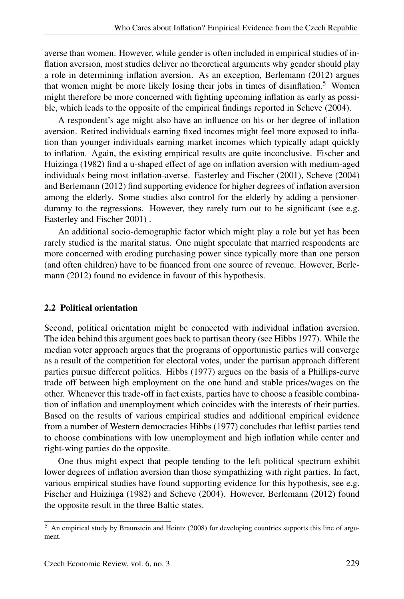averse than women. However, while gender is often included in empirical studies of inflation aversion, most studies deliver no theoretical arguments why gender should play a role in determining inflation aversion. As an exception, Berlemann (2012) argues that women might be more likely losing their jobs in times of disinflation.<sup>5</sup> Women might therefore be more concerned with fighting upcoming inflation as early as possible, which leads to the opposite of the empirical findings reported in Scheve (2004).

A respondent's age might also have an influence on his or her degree of inflation aversion. Retired individuals earning fixed incomes might feel more exposed to inflation than younger individuals earning market incomes which typically adapt quickly to inflation. Again, the existing empirical results are quite inconclusive. Fischer and Huizinga (1982) find a u-shaped effect of age on inflation aversion with medium-aged individuals being most inflation-averse. Easterley and Fischer (2001), Scheve (2004) and Berlemann (2012) find supporting evidence for higher degrees of inflation aversion among the elderly. Some studies also control for the elderly by adding a pensionerdummy to the regressions. However, they rarely turn out to be significant (see e.g. Easterley and Fischer 2001) .

An additional socio-demographic factor which might play a role but yet has been rarely studied is the marital status. One might speculate that married respondents are more concerned with eroding purchasing power since typically more than one person (and often children) have to be financed from one source of revenue. However, Berlemann (2012) found no evidence in favour of this hypothesis.

#### 2.2 Political orientation

Second, political orientation might be connected with individual inflation aversion. The idea behind this argument goes back to partisan theory (see Hibbs 1977). While the median voter approach argues that the programs of opportunistic parties will converge as a result of the competition for electoral votes, under the partisan approach different parties pursue different politics. Hibbs (1977) argues on the basis of a Phillips-curve trade off between high employment on the one hand and stable prices/wages on the other. Whenever this trade-off in fact exists, parties have to choose a feasible combination of inflation and unemployment which coincides with the interests of their parties. Based on the results of various empirical studies and additional empirical evidence from a number of Western democracies Hibbs (1977) concludes that leftist parties tend to choose combinations with low unemployment and high inflation while center and right-wing parties do the opposite.

One thus might expect that people tending to the left political spectrum exhibit lower degrees of inflation aversion than those sympathizing with right parties. In fact, various empirical studies have found supporting evidence for this hypothesis, see e.g. Fischer and Huizinga (1982) and Scheve (2004). However, Berlemann (2012) found the opposite result in the three Baltic states.

<sup>5</sup> An empirical study by Braunstein and Heintz (2008) for developing countries supports this line of argument.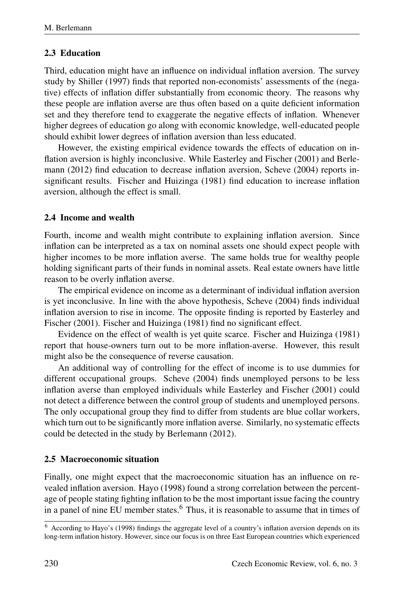## 2.3 Education

Third, education might have an influence on individual inflation aversion. The survey study by Shiller (1997) finds that reported non-economists' assessments of the (negative) effects of inflation differ substantially from economic theory. The reasons why these people are inflation averse are thus often based on a quite deficient information set and they therefore tend to exaggerate the negative effects of inflation. Whenever higher degrees of education go along with economic knowledge, well-educated people should exhibit lower degrees of inflation aversion than less educated.

However, the existing empirical evidence towards the effects of education on inflation aversion is highly inconclusive. While Easterley and Fischer (2001) and Berlemann (2012) find education to decrease inflation aversion, Scheve (2004) reports insignificant results. Fischer and Huizinga (1981) find education to increase inflation aversion, although the effect is small.

## 2.4 Income and wealth

Fourth, income and wealth might contribute to explaining inflation aversion. Since inflation can be interpreted as a tax on nominal assets one should expect people with higher incomes to be more inflation averse. The same holds true for wealthy people holding significant parts of their funds in nominal assets. Real estate owners have little reason to be overly inflation averse.

The empirical evidence on income as a determinant of individual inflation aversion is yet inconclusive. In line with the above hypothesis, Scheve (2004) finds individual inflation aversion to rise in income. The opposite finding is reported by Easterley and Fischer (2001). Fischer and Huizinga (1981) find no significant effect.

Evidence on the effect of wealth is yet quite scarce. Fischer and Huizinga (1981) report that house-owners turn out to be more inflation-averse. However, this result might also be the consequence of reverse causation.

An additional way of controlling for the effect of income is to use dummies for different occupational groups. Scheve (2004) finds unemployed persons to be less inflation averse than employed individuals while Easterley and Fischer (2001) could not detect a difference between the control group of students and unemployed persons. The only occupational group they find to differ from students are blue collar workers, which turn out to be significantly more inflation averse. Similarly, no systematic effects could be detected in the study by Berlemann (2012).

## 2.5 Macroeconomic situation

Finally, one might expect that the macroeconomic situation has an influence on revealed inflation aversion. Hayo (1998) found a strong correlation between the percentage of people stating fighting inflation to be the most important issue facing the country in a panel of nine EU member states.<sup>6</sup> Thus, it is reasonable to assume that in times of

<sup>6</sup> According to Hayo's (1998) findings the aggregate level of a country's inflation aversion depends on its long-term inflation history. However, since our focus is on three East European countries which experienced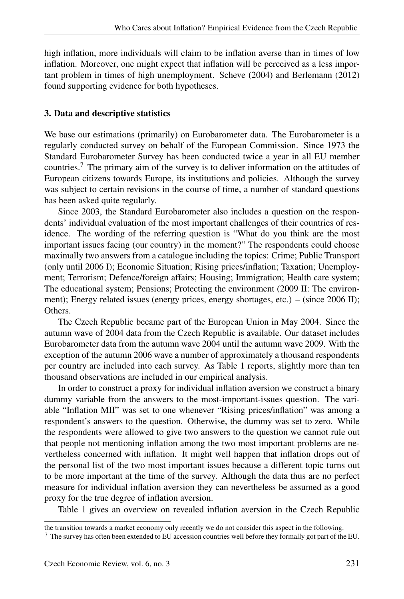high inflation, more individuals will claim to be inflation averse than in times of low inflation. Moreover, one might expect that inflation will be perceived as a less important problem in times of high unemployment. Scheve (2004) and Berlemann (2012) found supporting evidence for both hypotheses.

## 3. Data and descriptive statistics

We base our estimations (primarily) on Eurobarometer data. The Eurobarometer is a regularly conducted survey on behalf of the European Commission. Since 1973 the Standard Eurobarometer Survey has been conducted twice a year in all EU member countries.<sup>7</sup> The primary aim of the survey is to deliver information on the attitudes of European citizens towards Europe, its institutions and policies. Although the survey was subject to certain revisions in the course of time, a number of standard questions has been asked quite regularly.

Since 2003, the Standard Eurobarometer also includes a question on the respondents' individual evaluation of the most important challenges of their countries of residence. The wording of the referring question is "What do you think are the most important issues facing (our country) in the moment?" The respondents could choose maximally two answers from a catalogue including the topics: Crime; Public Transport (only until 2006 I); Economic Situation; Rising prices/inflation; Taxation; Unemployment; Terrorism; Defence/foreign affairs; Housing; Immigration; Health care system; The educational system; Pensions; Protecting the environment (2009 II: The environment); Energy related issues (energy prices, energy shortages, etc.) – (since 2006 II); Others.

The Czech Republic became part of the European Union in May 2004. Since the autumn wave of 2004 data from the Czech Republic is available. Our dataset includes Eurobarometer data from the autumn wave 2004 until the autumn wave 2009. With the exception of the autumn 2006 wave a number of approximately a thousand respondents per country are included into each survey. As Table 1 reports, slightly more than ten thousand observations are included in our empirical analysis.

In order to construct a proxy for individual inflation aversion we construct a binary dummy variable from the answers to the most-important-issues question. The variable "Inflation MII" was set to one whenever "Rising prices/inflation" was among a respondent's answers to the question. Otherwise, the dummy was set to zero. While the respondents were allowed to give two answers to the question we cannot rule out that people not mentioning inflation among the two most important problems are nevertheless concerned with inflation. It might well happen that inflation drops out of the personal list of the two most important issues because a different topic turns out to be more important at the time of the survey. Although the data thus are no perfect measure for individual inflation aversion they can nevertheless be assumed as a good proxy for the true degree of inflation aversion.

Table 1 gives an overview on revealed inflation aversion in the Czech Republic

the transition towards a market economy only recently we do not consider this aspect in the following.

<sup>7</sup> The survey has often been extended to EU accession countries well before they formally got part of the EU.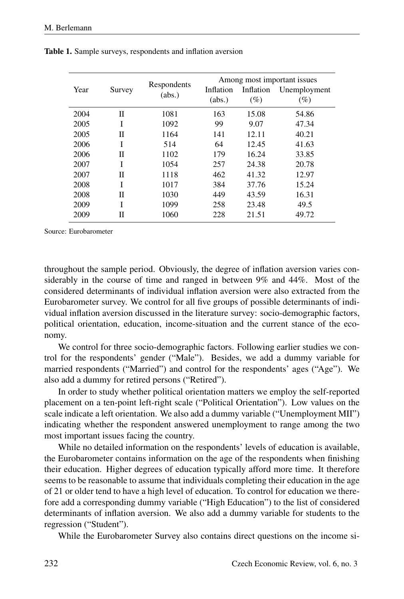|      | Survey | Respondents<br>(abs.) | Among most important issues |           |              |  |
|------|--------|-----------------------|-----------------------------|-----------|--------------|--|
| Year |        |                       | Inflation                   | Inflation | Unemployment |  |
|      |        |                       | (abs.)                      | $(\%)$    | $(\%)$       |  |
| 2004 | П      | 1081                  | 163                         | 15.08     | 54.86        |  |
| 2005 | I      | 1092                  | 99                          | 9.07      | 47.34        |  |
| 2005 | П      | 1164                  | 141                         | 12.11     | 40.21        |  |
| 2006 | T      | 514                   | 64                          | 12.45     | 41.63        |  |
| 2006 | П      | 1102                  | 179                         | 16.24     | 33.85        |  |
| 2007 | Ī      | 1054                  | 257                         | 24.38     | 20.78        |  |
| 2007 | П      | 1118                  | 462                         | 41.32     | 12.97        |  |
| 2008 | Ī      | 1017                  | 384                         | 37.76     | 15.24        |  |
| 2008 | П      | 1030                  | 449                         | 43.59     | 16.31        |  |
| 2009 | Ī      | 1099                  | 258                         | 23.48     | 49.5         |  |
| 2009 | П      | 1060                  | 228                         | 21.51     | 49.72        |  |

Table 1. Sample surveys, respondents and inflation aversion

Source: Eurobarometer

throughout the sample period. Obviously, the degree of inflation aversion varies considerably in the course of time and ranged in between 9% and 44%. Most of the considered determinants of individual inflation aversion were also extracted from the Eurobarometer survey. We control for all five groups of possible determinants of individual inflation aversion discussed in the literature survey: socio-demographic factors, political orientation, education, income-situation and the current stance of the economy.

We control for three socio-demographic factors. Following earlier studies we control for the respondents' gender ("Male"). Besides, we add a dummy variable for married respondents ("Married") and control for the respondents' ages ("Age"). We also add a dummy for retired persons ("Retired").

In order to study whether political orientation matters we employ the self-reported placement on a ten-point left-right scale ("Political Orientation"). Low values on the scale indicate a left orientation. We also add a dummy variable ("Unemployment MII") indicating whether the respondent answered unemployment to range among the two most important issues facing the country.

While no detailed information on the respondents' levels of education is available, the Eurobarometer contains information on the age of the respondents when finishing their education. Higher degrees of education typically afford more time. It therefore seems to be reasonable to assume that individuals completing their education in the age of 21 or older tend to have a high level of education. To control for education we therefore add a corresponding dummy variable ("High Education") to the list of considered determinants of inflation aversion. We also add a dummy variable for students to the regression ("Student").

While the Eurobarometer Survey also contains direct questions on the income si-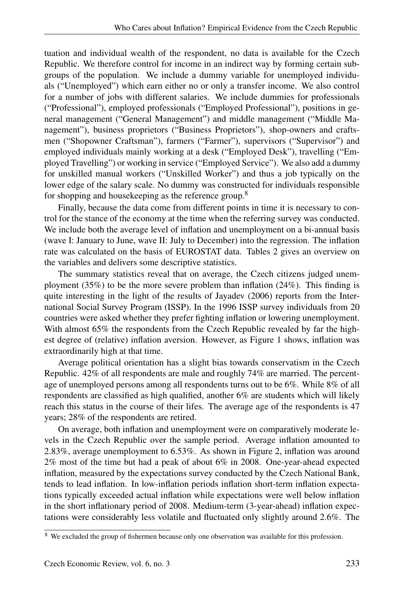tuation and individual wealth of the respondent, no data is available for the Czech Republic. We therefore control for income in an indirect way by forming certain subgroups of the population. We include a dummy variable for unemployed individuals ("Unemployed") which earn either no or only a transfer income. We also control for a number of jobs with different salaries. We include dummies for professionals ("Professional"), employed professionals ("Employed Professional"), positions in general management ("General Management") and middle management ("Middle Management"), business proprietors ("Business Proprietors"), shop-owners and craftsmen ("Shopowner Craftsman"), farmers ("Farmer"), supervisors ("Supervisor") and employed individuals mainly working at a desk ("Employed Desk"), travelling ("Employed Travelling") or working in service ("Employed Service"). We also add a dummy for unskilled manual workers ("Unskilled Worker") and thus a job typically on the lower edge of the salary scale. No dummy was constructed for individuals responsible for shopping and housekeeping as the reference group.<sup>8</sup>

Finally, because the data come from different points in time it is necessary to control for the stance of the economy at the time when the referring survey was conducted. We include both the average level of inflation and unemployment on a bi-annual basis (wave I: January to June, wave II: July to December) into the regression. The inflation rate was calculated on the basis of EUROSTAT data. Tables 2 gives an overview on the variables and delivers some descriptive statistics.

The summary statistics reveal that on average, the Czech citizens judged unemployment (35%) to be the more severe problem than inflation (24%). This finding is quite interesting in the light of the results of Jayadev (2006) reports from the International Social Survey Program (ISSP). In the 1996 ISSP survey individuals from 20 countries were asked whether they prefer fighting inflation or lowering unemployment. With almost 65% the respondents from the Czech Republic revealed by far the highest degree of (relative) inflation aversion. However, as Figure 1 shows, inflation was extraordinarily high at that time.

Average political orientation has a slight bias towards conservatism in the Czech Republic. 42% of all respondents are male and roughly 74% are married. The percentage of unemployed persons among all respondents turns out to be 6%. While 8% of all respondents are classified as high qualified, another 6% are students which will likely reach this status in the course of their lifes. The average age of the respondents is 47 years; 28% of the respondents are retired.

On average, both inflation and unemployment were on comparatively moderate levels in the Czech Republic over the sample period. Average inflation amounted to 2.83%, average unemployment to 6.53%. As shown in Figure 2, inflation was around 2% most of the time but had a peak of about 6% in 2008. One-year-ahead expected inflation, measured by the expectations survey conducted by the Czech National Bank, tends to lead inflation. In low-inflation periods inflation short-term inflation expectations typically exceeded actual inflation while expectations were well below inflation in the short inflationary period of 2008. Medium-term (3-year-ahead) inflation expectations were considerably less volatile and fluctuated only slightly around 2.6%. The

<sup>&</sup>lt;sup>8</sup> We excluded the group of fishermen because only one observation was available for this profession.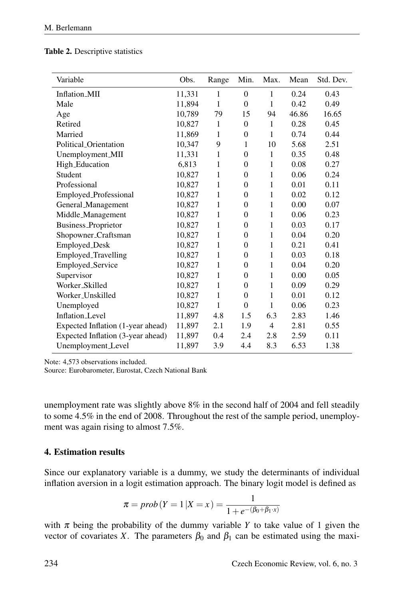|  | <b>Table 2.</b> Descriptive statistics |  |
|--|----------------------------------------|--|
|--|----------------------------------------|--|

| Variable                          | Obs.   | Range | Min.             | Max.           | Mean  | Std. Dev. |
|-----------------------------------|--------|-------|------------------|----------------|-------|-----------|
| Inflation_MII                     | 11,331 | 1     | $\overline{0}$   | $\mathbf{1}$   | 0.24  | 0.43      |
| Male                              | 11,894 | 1     | $\theta$         | 1              | 0.42  | 0.49      |
| Age                               | 10,789 | 79    | 15               | 94             | 46.86 | 16.65     |
| Retired                           | 10,827 | 1     | $\overline{0}$   | 1              | 0.28  | 0.45      |
| Married                           | 11,869 | 1     | $\overline{0}$   | 1              | 0.74  | 0.44      |
| Political Orientation             | 10,347 | 9     | 1                | 10             | 5.68  | 2.51      |
| Unemployment_MII                  | 11,331 | 1     | $\overline{0}$   | $\mathbf{1}$   | 0.35  | 0.48      |
| High_Education                    | 6.813  | 1     | $\overline{0}$   | 1              | 0.08  | 0.27      |
| Student                           | 10,827 | 1     | $\overline{0}$   | 1              | 0.06  | 0.24      |
| Professional                      | 10,827 | 1     | $\overline{0}$   | 1              | 0.01  | 0.11      |
| Employed_Professional             | 10,827 | 1     | $\overline{0}$   | 1              | 0.02  | 0.12      |
| General_Management                | 10.827 | 1     | $\overline{0}$   | 1              | 0.00  | 0.07      |
| Middle_Management                 | 10,827 | 1     | $\overline{0}$   | 1              | 0.06  | 0.23      |
| Business_Proprietor               | 10,827 | 1     | $\overline{0}$   | 1              | 0.03  | 0.17      |
| Shopowner_Craftsman               | 10,827 | 1     | $\overline{0}$   | 1              | 0.04  | 0.20      |
| Employed_Desk                     | 10,827 | 1     | $\overline{0}$   | 1              | 0.21  | 0.41      |
| Employed_Travelling               | 10,827 | 1     | $\overline{0}$   | 1              | 0.03  | 0.18      |
| Employed_Service                  | 10,827 | 1     | $\boldsymbol{0}$ | 1              | 0.04  | 0.20      |
| Supervisor                        | 10,827 | 1     | $\overline{0}$   | 1              | 0.00  | 0.05      |
| Worker Skilled                    | 10,827 | 1     | $\overline{0}$   | 1              | 0.09  | 0.29      |
| Worker_Unskilled                  | 10,827 | 1     | $\overline{0}$   | 1              | 0.01  | 0.12      |
| Unemployed                        | 10,827 | 1     | $\overline{0}$   | 1              | 0.06  | 0.23      |
| <b>Inflation_Level</b>            | 11,897 | 4.8   | 1.5              | 6.3            | 2.83  | 1.46      |
| Expected Inflation (1-year ahead) | 11,897 | 2.1   | 1.9              | $\overline{4}$ | 2.81  | 0.55      |
| Expected Inflation (3-year ahead) | 11,897 | 0.4   | 2.4              | 2.8            | 2.59  | 0.11      |
| Unemployment_Level                | 11,897 | 3.9   | 4.4              | 8.3            | 6.53  | 1.38      |

Note: 4,573 observations included.

Source: Eurobarometer, Eurostat, Czech National Bank

unemployment rate was slightly above 8% in the second half of 2004 and fell steadily to some 4.5% in the end of 2008. Throughout the rest of the sample period, unemployment was again rising to almost 7.5%.

#### 4. Estimation results

Since our explanatory variable is a dummy, we study the determinants of individual inflation aversion in a logit estimation approach. The binary logit model is defined as

$$
\pi = prob(Y = 1 | X = x) = \frac{1}{1 + e^{-(\beta_0 + \beta_1 \cdot x)}}
$$

with  $\pi$  being the probability of the dummy variable *Y* to take value of 1 given the vector of covariates *X*. The parameters  $\beta_0$  and  $\beta_1$  can be estimated using the maxi-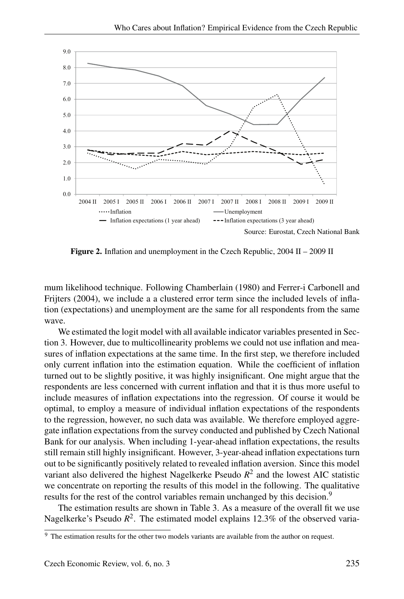

Figure 2. Inflation and unemployment in the Czech Republic, 2004 II – 2009 II

mum likelihood technique. Following Chamberlain (1980) and Ferrer-i Carbonell and Frijters (2004), we include a a clustered error term since the included levels of inflation (expectations) and unemployment are the same for all respondents from the same wave.

We estimated the logit model with all available indicator variables presented in Section 3. However, due to multicollinearity problems we could not use inflation and measures of inflation expectations at the same time. In the first step, we therefore included only current inflation into the estimation equation. While the coefficient of inflation turned out to be slightly positive, it was highly insignificant. One might argue that the respondents are less concerned with current inflation and that it is thus more useful to include measures of inflation expectations into the regression. Of course it would be optimal, to employ a measure of individual inflation expectations of the respondents to the regression, however, no such data was available. We therefore employed aggregate inflation expectations from the survey conducted and published by Czech National Bank for our analysis. When including 1-year-ahead inflation expectations, the results still remain still highly insignificant. However, 3-year-ahead inflation expectations turn out to be significantly positively related to revealed inflation aversion. Since this model variant also delivered the highest Nagelkerke Pseudo *R* 2 and the lowest AIC statistic we concentrate on reporting the results of this model in the following. The qualitative results for the rest of the control variables remain unchanged by this decision.<sup>9</sup>

The estimation results are shown in Table 3. As a measure of the overall fit we use Nagelkerke's Pseudo  $R^2$ . The estimated model explains 12.3% of the observed varia-

<sup>&</sup>lt;sup>9</sup> The estimation results for the other two models variants are available from the author on request.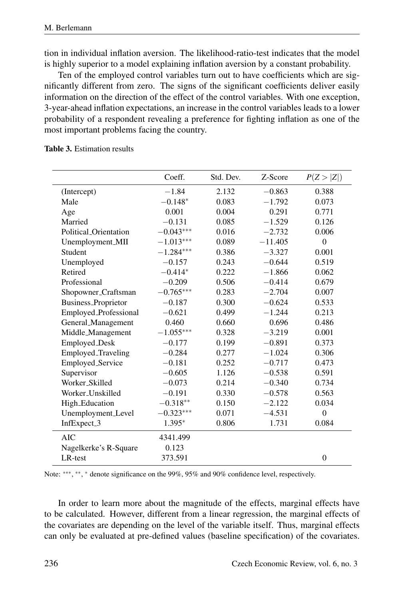tion in individual inflation aversion. The likelihood-ratio-test indicates that the model is highly superior to a model explaining inflation aversion by a constant probability.

Ten of the employed control variables turn out to have coefficients which are significantly different from zero. The signs of the significant coefficients deliver easily information on the direction of the effect of the control variables. With one exception, 3-year-ahead inflation expectations, an increase in the control variables leads to a lower probability of a respondent revealing a preference for fighting inflation as one of the most important problems facing the country.

|                            | Coeff.      | Std. Dev. | Z-Score   | P(Z >  Z )     |
|----------------------------|-------------|-----------|-----------|----------------|
| (Intercept)                | $-1.84$     | 2.132     | $-0.863$  | 0.388          |
| Male                       | $-0.148*$   | 0.083     | $-1.792$  | 0.073          |
| Age                        | 0.001       | 0.004     | 0.291     | 0.771          |
| Married                    | $-0.131$    | 0.085     | $-1.529$  | 0.126          |
| Political_Orientation      | $-0.043***$ | 0.016     | $-2.732$  | 0.006          |
| Unemployment_MII           | $-1.013***$ | 0.089     | $-11.405$ | $\mathbf{0}$   |
| Student                    | $-1.284***$ | 0.386     | $-3.327$  | 0.001          |
| Unemployed                 | $-0.157$    | 0.243     | $-0.644$  | 0.519          |
| Retired                    | $-0.414*$   | 0.222     | $-1.866$  | 0.062          |
| Professional               | $-0.209$    | 0.506     | $-0.414$  | 0.679          |
| Shopowner_Craftsman        | $-0.765***$ | 0.283     | $-2.704$  | 0.007          |
| <b>Business_Proprietor</b> | $-0.187$    | 0.300     | $-0.624$  | 0.533          |
| Employed_Professional      | $-0.621$    | 0.499     | $-1.244$  | 0.213          |
| General_Management         | 0.460       | 0.660     | 0.696     | 0.486          |
| Middle_Management          | $-1.055***$ | 0.328     | $-3.219$  | 0.001          |
| Employed_Desk              | $-0.177$    | 0.199     | $-0.891$  | 0.373          |
| Employed_Traveling         | $-0.284$    | 0.277     | $-1.024$  | 0.306          |
| Employed_Service           | $-0.181$    | 0.252     | $-0.717$  | 0.473          |
| Supervisor                 | $-0.605$    | 1.126     | $-0.538$  | 0.591          |
| Worker_Skilled             | $-0.073$    | 0.214     | $-0.340$  | 0.734          |
| Worker_Unskilled           | $-0.191$    | 0.330     | $-0.578$  | 0.563          |
| High_Education             | $-0.318**$  | 0.150     | $-2.122$  | 0.034          |
| Unemployment_Level         | $-0.323***$ | 0.071     | $-4.531$  | $\mathbf{0}$   |
| InfExpect_3                | $1.395*$    | 0.806     | 1.731     | 0.084          |
| <b>AIC</b>                 | 4341.499    |           |           |                |
| Nagelkerke's R-Square      | 0.123       |           |           |                |
| LR-test                    | 373.591     |           |           | $\overline{0}$ |

#### Table 3. Estimation results

Note: \*\*\*, \*\*, \* denote significance on the 99%, 95% and 90% confidence level, respectively.

In order to learn more about the magnitude of the effects, marginal effects have to be calculated. However, different from a linear regression, the marginal effects of the covariates are depending on the level of the variable itself. Thus, marginal effects can only be evaluated at pre-defined values (baseline specification) of the covariates.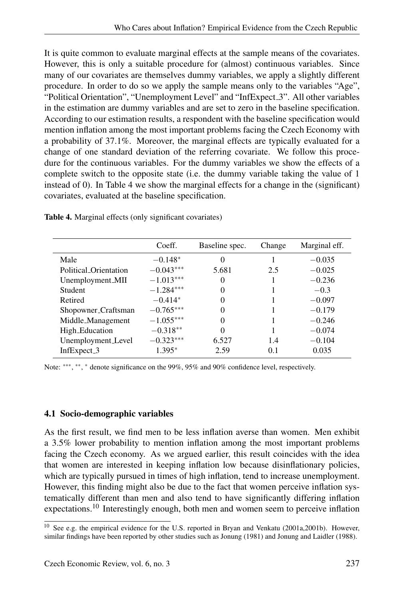It is quite common to evaluate marginal effects at the sample means of the covariates. However, this is only a suitable procedure for (almost) continuous variables. Since many of our covariates are themselves dummy variables, we apply a slightly different procedure. In order to do so we apply the sample means only to the variables "Age", "Political Orientation", "Unemployment Level" and "InfExpect 3". All other variables in the estimation are dummy variables and are set to zero in the baseline specification. According to our estimation results, a respondent with the baseline specification would mention inflation among the most important problems facing the Czech Economy with a probability of 37.1%. Moreover, the marginal effects are typically evaluated for a change of one standard deviation of the referring covariate. We follow this procedure for the continuous variables. For the dummy variables we show the effects of a complete switch to the opposite state (i.e. the dummy variable taking the value of 1 instead of 0). In Table 4 we show the marginal effects for a change in the (significant) covariates, evaluated at the baseline specification.

|                         | Coeff.      | Baseline spec. | Change | Marginal eff. |
|-------------------------|-------------|----------------|--------|---------------|
| Male                    | $-0.148*$   | $\Omega$       |        | $-0.035$      |
| Political Orientation   | $-0.043***$ | 5.681          | 2.5    | $-0.025$      |
| Unemployment_MII        | $-1.013***$ | $\Omega$       |        | $-0.236$      |
| Student                 | $-1.284***$ | $\Omega$       |        | $-0.3$        |
| Retired                 | $-0.414*$   | 0              |        | $-0.097$      |
| Shopowner_Craftsman     | $-0.765***$ | 0              |        | $-0.179$      |
| Middle_Management       | $-1.055***$ | $\Omega$       |        | $-0.246$      |
| High_Education          | $-0.318**$  | $\Omega$       |        | $-0.074$      |
| Unemployment_Level      | $-0.323***$ | 6.527          | 1.4    | $-0.104$      |
| InfExpect <sub>-3</sub> | $1.395*$    | 2.59           | 0.1    | 0.035         |

Table 4. Marginal effects (only significant covariates)

Note: \*\*\*, \*\*, \* denote significance on the 99%, 95% and 90% confidence level, respectively.

## 4.1 Socio-demographic variables

As the first result, we find men to be less inflation averse than women. Men exhibit a 3.5% lower probability to mention inflation among the most important problems facing the Czech economy. As we argued earlier, this result coincides with the idea that women are interested in keeping inflation low because disinflationary policies, which are typically pursued in times of high inflation, tend to increase unemployment. However, this finding might also be due to the fact that women perceive inflation systematically different than men and also tend to have significantly differing inflation expectations.<sup>10</sup> Interestingly enough, both men and women seem to perceive inflation

<sup>&</sup>lt;sup>10</sup> See e.g. the empirical evidence for the U.S. reported in Bryan and Venkatu (2001a,2001b). However, similar findings have been reported by other studies such as Jonung (1981) and Jonung and Laidler (1988).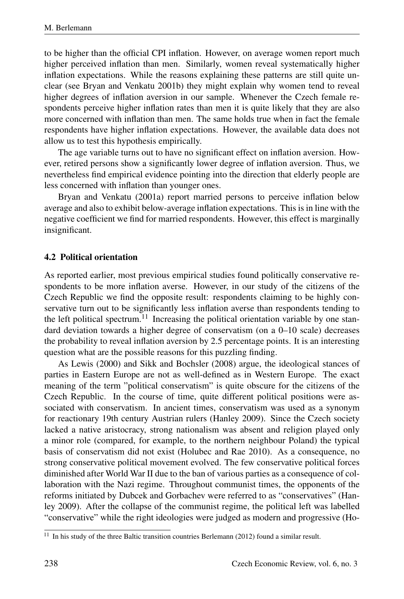to be higher than the official CPI inflation. However, on average women report much higher perceived inflation than men. Similarly, women reveal systematically higher inflation expectations. While the reasons explaining these patterns are still quite unclear (see Bryan and Venkatu 2001b) they might explain why women tend to reveal higher degrees of inflation aversion in our sample. Whenever the Czech female respondents perceive higher inflation rates than men it is quite likely that they are also more concerned with inflation than men. The same holds true when in fact the female respondents have higher inflation expectations. However, the available data does not allow us to test this hypothesis empirically.

The age variable turns out to have no significant effect on inflation aversion. However, retired persons show a significantly lower degree of inflation aversion. Thus, we nevertheless find empirical evidence pointing into the direction that elderly people are less concerned with inflation than younger ones.

Bryan and Venkatu (2001a) report married persons to perceive inflation below average and also to exhibit below-average inflation expectations. This is in line with the negative coefficient we find for married respondents. However, this effect is marginally insignificant.

## 4.2 Political orientation

As reported earlier, most previous empirical studies found politically conservative respondents to be more inflation averse. However, in our study of the citizens of the Czech Republic we find the opposite result: respondents claiming to be highly conservative turn out to be significantly less inflation averse than respondents tending to the left political spectrum.<sup>11</sup> Increasing the political orientation variable by one standard deviation towards a higher degree of conservatism (on a 0–10 scale) decreases the probability to reveal inflation aversion by 2.5 percentage points. It is an interesting question what are the possible reasons for this puzzling finding.

As Lewis (2000) and Sikk and Bochsler (2008) argue, the ideological stances of parties in Eastern Europe are not as well-defined as in Western Europe. The exact meaning of the term "political conservatism" is quite obscure for the citizens of the Czech Republic. In the course of time, quite different political positions were associated with conservatism. In ancient times, conservatism was used as a synonym for reactionary 19th century Austrian rulers (Hanley 2009). Since the Czech society lacked a native aristocracy, strong nationalism was absent and religion played only a minor role (compared, for example, to the northern neighbour Poland) the typical basis of conservatism did not exist (Holubec and Rae 2010). As a consequence, no strong conservative political movement evolved. The few conservative political forces diminished after World War II due to the ban of various parties as a consequence of collaboration with the Nazi regime. Throughout communist times, the opponents of the reforms initiated by Dubcek and Gorbachev were referred to as "conservatives" (Hanley 2009). After the collapse of the communist regime, the political left was labelled "conservative" while the right ideologies were judged as modern and progressive (Ho-

 $11$  In his study of the three Baltic transition countries Berlemann (2012) found a similar result.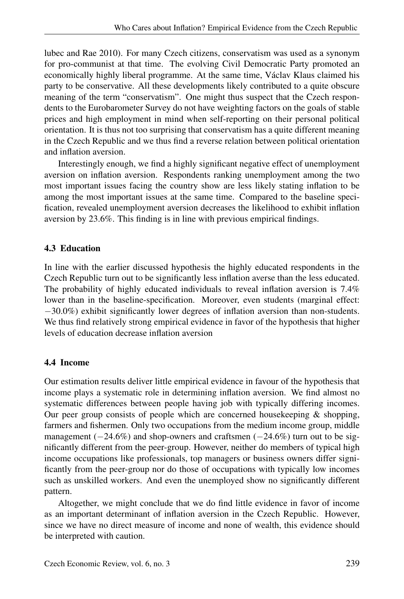lubec and Rae 2010). For many Czech citizens, conservatism was used as a synonym for pro-communist at that time. The evolving Civil Democratic Party promoted an economically highly liberal programme. At the same time, Václav Klaus claimed his party to be conservative. All these developments likely contributed to a quite obscure meaning of the term "conservatism". One might thus suspect that the Czech respondents to the Eurobarometer Survey do not have weighting factors on the goals of stable prices and high employment in mind when self-reporting on their personal political orientation. It is thus not too surprising that conservatism has a quite different meaning in the Czech Republic and we thus find a reverse relation between political orientation and inflation aversion.

Interestingly enough, we find a highly significant negative effect of unemployment aversion on inflation aversion. Respondents ranking unemployment among the two most important issues facing the country show are less likely stating inflation to be among the most important issues at the same time. Compared to the baseline specification, revealed unemployment aversion decreases the likelihood to exhibit inflation aversion by 23.6%. This finding is in line with previous empirical findings.

## 4.3 Education

In line with the earlier discussed hypothesis the highly educated respondents in the Czech Republic turn out to be significantly less inflation averse than the less educated. The probability of highly educated individuals to reveal inflation aversion is 7.4% lower than in the baseline-specification. Moreover, even students (marginal effect: −30.0%) exhibit significantly lower degrees of inflation aversion than non-students. We thus find relatively strong empirical evidence in favor of the hypothesis that higher levels of education decrease inflation aversion

## 4.4 Income

Our estimation results deliver little empirical evidence in favour of the hypothesis that income plays a systematic role in determining inflation aversion. We find almost no systematic differences between people having job with typically differing incomes. Our peer group consists of people which are concerned housekeeping & shopping, farmers and fishermen. Only two occupations from the medium income group, middle management  $(-24.6\%)$  and shop-owners and craftsmen  $(-24.6\%)$  turn out to be significantly different from the peer-group. However, neither do members of typical high income occupations like professionals, top managers or business owners differ significantly from the peer-group nor do those of occupations with typically low incomes such as unskilled workers. And even the unemployed show no significantly different pattern.

Altogether, we might conclude that we do find little evidence in favor of income as an important determinant of inflation aversion in the Czech Republic. However, since we have no direct measure of income and none of wealth, this evidence should be interpreted with caution.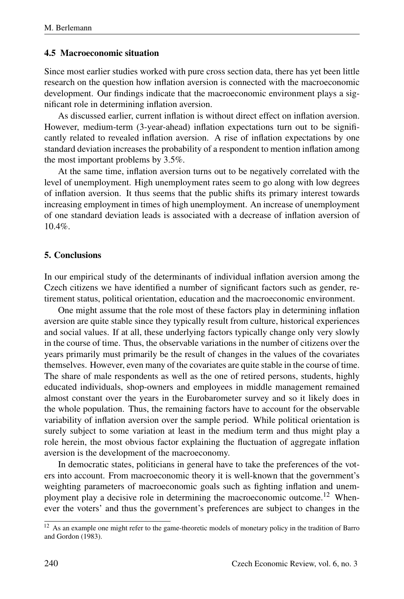## 4.5 Macroeconomic situation

Since most earlier studies worked with pure cross section data, there has yet been little research on the question how inflation aversion is connected with the macroeconomic development. Our findings indicate that the macroeconomic environment plays a significant role in determining inflation aversion.

As discussed earlier, current inflation is without direct effect on inflation aversion. However, medium-term (3-year-ahead) inflation expectations turn out to be significantly related to revealed inflation aversion. A rise of inflation expectations by one standard deviation increases the probability of a respondent to mention inflation among the most important problems by 3.5%.

At the same time, inflation aversion turns out to be negatively correlated with the level of unemployment. High unemployment rates seem to go along with low degrees of inflation aversion. It thus seems that the public shifts its primary interest towards increasing employment in times of high unemployment. An increase of unemployment of one standard deviation leads is associated with a decrease of inflation aversion of  $10.4\%$ 

## 5. Conclusions

In our empirical study of the determinants of individual inflation aversion among the Czech citizens we have identified a number of significant factors such as gender, retirement status, political orientation, education and the macroeconomic environment.

One might assume that the role most of these factors play in determining inflation aversion are quite stable since they typically result from culture, historical experiences and social values. If at all, these underlying factors typically change only very slowly in the course of time. Thus, the observable variations in the number of citizens over the years primarily must primarily be the result of changes in the values of the covariates themselves. However, even many of the covariates are quite stable in the course of time. The share of male respondents as well as the one of retired persons, students, highly educated individuals, shop-owners and employees in middle management remained almost constant over the years in the Eurobarometer survey and so it likely does in the whole population. Thus, the remaining factors have to account for the observable variability of inflation aversion over the sample period. While political orientation is surely subject to some variation at least in the medium term and thus might play a role herein, the most obvious factor explaining the fluctuation of aggregate inflation aversion is the development of the macroeconomy.

In democratic states, politicians in general have to take the preferences of the voters into account. From macroeconomic theory it is well-known that the government's weighting parameters of macroeconomic goals such as fighting inflation and unemployment play a decisive role in determining the macroeconomic outcome.<sup>12</sup> Whenever the voters' and thus the government's preferences are subject to changes in the

<sup>&</sup>lt;sup>12</sup> As an example one might refer to the game-theoretic models of monetary policy in the tradition of Barro and Gordon (1983).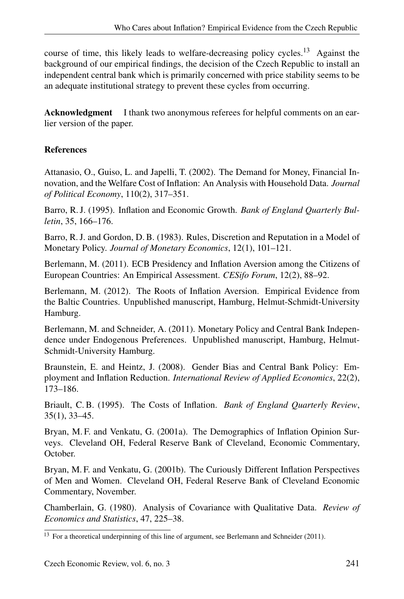course of time, this likely leads to welfare-decreasing policy cycles.<sup>13</sup> Against the background of our empirical findings, the decision of the Czech Republic to install an independent central bank which is primarily concerned with price stability seems to be an adequate institutional strategy to prevent these cycles from occurring.

Acknowledgment I thank two anonymous referees for helpful comments on an earlier version of the paper.

## **References**

Attanasio, O., Guiso, L. and Japelli, T. (2002). The Demand for Money, Financial Innovation, and the Welfare Cost of Inflation: An Analysis with Household Data. *Journal of Political Economy*, 110(2), 317–351.

Barro, R. J. (1995). Inflation and Economic Growth. *Bank of England Quarterly Bulletin*, 35, 166–176.

Barro, R. J. and Gordon, D. B. (1983). Rules, Discretion and Reputation in a Model of Monetary Policy. *Journal of Monetary Economics*, 12(1), 101–121.

Berlemann, M. (2011). ECB Presidency and Inflation Aversion among the Citizens of European Countries: An Empirical Assessment. *CESifo Forum*, 12(2), 88–92.

Berlemann, M. (2012). The Roots of Inflation Aversion. Empirical Evidence from the Baltic Countries. Unpublished manuscript, Hamburg, Helmut-Schmidt-University Hamburg.

Berlemann, M. and Schneider, A. (2011). Monetary Policy and Central Bank Independence under Endogenous Preferences. Unpublished manuscript, Hamburg, Helmut-Schmidt-University Hamburg.

Braunstein, E. and Heintz, J. (2008). Gender Bias and Central Bank Policy: Employment and Inflation Reduction. *International Review of Applied Economics*, 22(2), 173–186.

Briault, C. B. (1995). The Costs of Inflation. *Bank of England Quarterly Review*, 35(1), 33–45.

Bryan, M. F. and Venkatu, G. (2001a). The Demographics of Inflation Opinion Surveys. Cleveland OH, Federal Reserve Bank of Cleveland, Economic Commentary, October.

Bryan, M. F. and Venkatu, G. (2001b). The Curiously Different Inflation Perspectives of Men and Women. Cleveland OH, Federal Reserve Bank of Cleveland Economic Commentary, November.

Chamberlain, G. (1980). Analysis of Covariance with Qualitative Data. *Review of Economics and Statistics*, 47, 225–38.

<sup>&</sup>lt;sup>13</sup> For a theoretical underpinning of this line of argument, see Berlemann and Schneider (2011).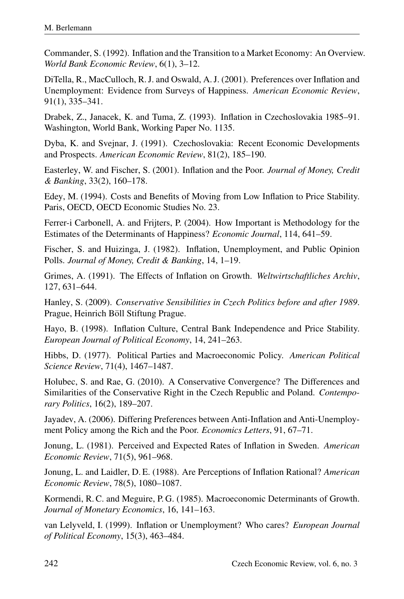Commander, S. (1992). Inflation and the Transition to a Market Economy: An Overview. *World Bank Economic Review*, 6(1), 3–12.

DiTella, R., MacCulloch, R. J. and Oswald, A. J. (2001). Preferences over Inflation and Unemployment: Evidence from Surveys of Happiness. *American Economic Review*, 91(1), 335–341.

Drabek, Z., Janacek, K. and Tuma, Z. (1993). Inflation in Czechoslovakia 1985–91. Washington, World Bank, Working Paper No. 1135.

Dyba, K. and Svejnar, J. (1991). Czechoslovakia: Recent Economic Developments and Prospects. *American Economic Review*, 81(2), 185–190.

Easterley, W. and Fischer, S. (2001). Inflation and the Poor. *Journal of Money, Credit & Banking*, 33(2), 160–178.

Edey, M. (1994). Costs and Benefits of Moving from Low Inflation to Price Stability. Paris, OECD, OECD Economic Studies No. 23.

Ferrer-i Carbonell, A. and Frijters, P. (2004). How Important is Methodology for the Estimates of the Determinants of Happiness? *Economic Journal*, 114, 641–59.

Fischer, S. and Huizinga, J. (1982). Inflation, Unemployment, and Public Opinion Polls. *Journal of Money, Credit & Banking*, 14, 1–19.

Grimes, A. (1991). The Effects of Inflation on Growth. *Weltwirtschaftliches Archiv*, 127, 631–644.

Hanley, S. (2009). *Conservative Sensibilities in Czech Politics before and after 1989*. Prague, Heinrich Böll Stiftung Prague.

Hayo, B. (1998). Inflation Culture, Central Bank Independence and Price Stability. *European Journal of Political Economy*, 14, 241–263.

Hibbs, D. (1977). Political Parties and Macroeconomic Policy. *American Political Science Review*, 71(4), 1467–1487.

Holubec, S. and Rae, G. (2010). A Conservative Convergence? The Differences and Similarities of the Conservative Right in the Czech Republic and Poland. *Contemporary Politics*, 16(2), 189–207.

Jayadev, A. (2006). Differing Preferences between Anti-Inflation and Anti-Unemployment Policy among the Rich and the Poor. *Economics Letters*, 91, 67–71.

Jonung, L. (1981). Perceived and Expected Rates of Inflation in Sweden. *American Economic Review*, 71(5), 961–968.

Jonung, L. and Laidler, D. E. (1988). Are Perceptions of Inflation Rational? *American Economic Review*, 78(5), 1080–1087.

Kormendi, R. C. and Meguire, P. G. (1985). Macroeconomic Determinants of Growth. *Journal of Monetary Economics*, 16, 141–163.

van Lelyveld, I. (1999). Inflation or Unemployment? Who cares? *European Journal of Political Economy*, 15(3), 463–484.